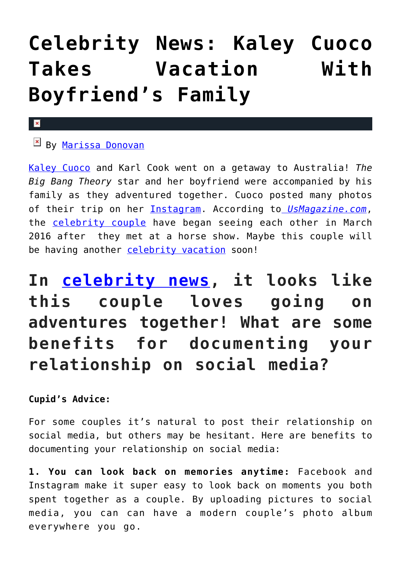## **[Celebrity News: Kaley Cuoco](https://cupidspulse.com/120122/celebrity-news-kaley-cuoco-vacation-boyfriends-family/) [Takes Vacation With](https://cupidspulse.com/120122/celebrity-news-kaley-cuoco-vacation-boyfriends-family/) [Boyfriend's Family](https://cupidspulse.com/120122/celebrity-news-kaley-cuoco-vacation-boyfriends-family/)**

## $\overline{\mathbf{x}}$

## $\mathbb{E}$  By [Marissa Donovan](http://cupidspulse.com/118743/marissa-donovan/)

[Kaley Cuoco](http://cupidspulse.com/109120/kaley-cuoco/) and Karl Cook went on a getaway to Australia! *The Big Bang Theory* star and her boyfriend were accompanied by his family as they adventured together. Cuoco posted many photos of their trip on her [Instagram.](https://www.instagram.com/p/BXUD0jBlNQi/?hl=en&taken-by=normancook) According to *[UsMagazine.com](http://www.usmagazine.com/celebrity-news/pictures/kaley-cuoco-takes-vacation-with-boyfriends-family-pics-w495815/light-as-a-feather-w495829)*, the [celebrity couple](http://cupidspulse.com/celebrity-news/celebrity-dating/) have began seeing each other in March 2016 after they met at a horse show. Maybe this couple will be having another [celebrity vacation](http://cupidspulse.com/travel/) soon!

**In [celebrity news](http://cupidspulse.com/celebrity-news/), it looks like this couple loves going on adventures together! What are some benefits for documenting your relationship on social media?**

## **Cupid's Advice:**

For some couples it's natural to post their relationship on social media, but others may be hesitant. Here are benefits to documenting your relationship on social media:

**1. You can look back on memories anytime:** Facebook and Instagram make it super easy to look back on moments you both spent together as a couple. By uploading pictures to social media, you can can have a modern couple's photo album everywhere you go.